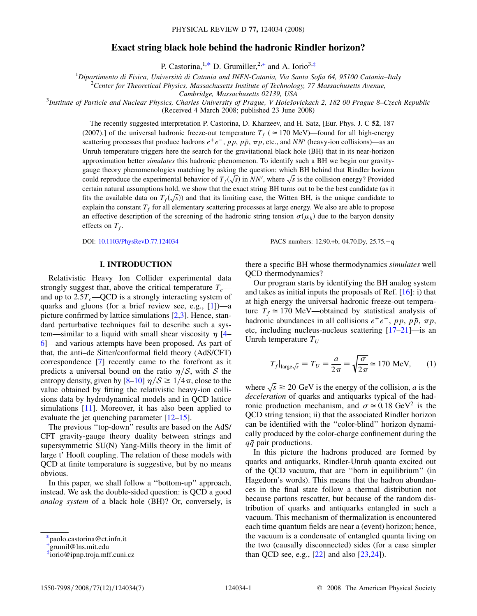# Exact string black hole behind the hadronic Rindler horizon?

P. Castorina, <sup>1,\*</sup> D. Grumiller, <sup>2,+</sup> and A. Iorio<sup>3,‡</sup>

<sup>1</sup>Dipartimento di Fisica, Università di Catania and INFN-Catania, Via Santa Sofia 64, 95100 Catania–Italy <sup>2</sup>Cantar for Theoratiaal Physics, Massachusetts Institute of Technology 77 Massachusetts Ayanua

<sup>2</sup> Center for Theoretical Physics, Massachusetts Institute of Technology, 77 Massachusetts Avenue,

Cambridge, Massachusetts 02139, USA<br><sup>3</sup>Institute of Particle and Nuclear Physics, Charles University of Prague, V Holešovickach 2, 182 00 Prague 8–Czech Republic (Received 4 March 2008; published 23 June 2008)

The recently suggested interpretation P. Castorina, D. Kharzeev, and H. Satz, [Eur. Phys. J. C 52, 187 (2007).] of the universal hadronic freeze-out temperature  $T_f$  ( $\simeq$  170 MeV)—found for all high-energy scattering processes that produce hadrons  $e^+e^-$ , pp, pp,  $\pi p$ , etc., and NN' (heavy-ion collisions)—as an Unruh temperature triggers here the search for the gravitational black hole (BH) that in its near-horizon approximation better simulates this hadronic phenomenon. To identify such a BH we begin our gravitygauge theory phenomenologies matching by asking the question: which BH behind that Rindler horizon could reproduce the experimental behavior of  $T_f(\sqrt{s})$  in NN', where  $\sqrt{s}$  is the collision energy? Provided certain natural assumptions hold, we show that the exact string BH turns out to be the best candidate (as it fits the available data on  $T_f(\sqrt{s})$  and that its limiting case, the Witten BH, is the unique candidate to explain the constant  $T<sub>f</sub>$  for all elementary scattering processes at large energy. We also are able to propose an effective description of the screening of the hadronic string tension  $\sigma(\mu_b)$  due to the baryon density effects on  $T_f$ .

DOI: [10.1103/PhysRevD.77.124034](http://dx.doi.org/10.1103/PhysRevD.77.124034) PACS numbers: 12.90.+b, 04.70.Dy, 25.75.q

## I. INTRODUCTION

Relativistic Heavy Ion Collider experimental data strongly suggest that, above the critical temperature  $T_c$  and up to  $2.5T_c$ —QCD is a strongly interacting system of quarks and gluons (for a brief review see, e.g., [1])—a picture confirmed by lattice simulations [2,3]. Hence, standard perturbative techniques fail to describe such a system—similar to a liquid with small shear viscosity  $\eta$  [4– [6](#page-5-0)]—and various attempts have been proposed. As part of that, the anti–de Sitter/conformal field theory (AdS/CFT) correspondence [[7](#page-5-0)] recently came to the forefront as it predicts a universal bound on the ratio  $\eta/S$ , with S the entropy density, given by  $[8-10]$   $\eta/S \ge 1/4\pi$ , close to the value obtained by fitting the relativistic heavy-ion collisions data by hydrodynamical models and in QCD lattice simulations [11]. Moreover, it has also been applied to evaluate the jet quenching parameter [12–15].

The previous "top-down" results are based on the AdS/ CFT gravity-gauge theory duality between strings and supersymmetric SU(N) Yang-Mills theory in the limit of large t' Hooft coupling. The relation of these models with QCD at finite temperature is suggestive, but by no means obvious.

In this paper, we shall follow a ''bottom-up'' approach, instead. We ask the double-sided question: is QCD a good analog system of a black hole (BH)? Or, conversely, is there a specific BH whose thermodynamics simulates well QCD thermodynamics?

Our program starts by identifying the BH analog system and takes as initial inputs the proposals of Ref.  $[16]$ : i) that at high energy the universal hadronic freeze-out temperature  $T_f \approx 170$  MeV—obtained by statistical analysis of hadronic abundances in all collisions  $e^+e^-$ , pp, p $\bar{p}$ ,  $\pi p$ , etc, including nucleus-nucleus scattering [17–21]—is an Unruh temperature  $T_{U}$ 

$$
T_f|_{\text{large}\sqrt{s}} = T_U = \frac{a}{2\pi} = \sqrt{\frac{\sigma}{2\pi}} \approx 170 \text{ MeV}, \qquad (1)
$$

where  $\sqrt{s} \ge 20$  GeV is the energy of the collision, *a* is the deceleration of quarks and antiquarks typical of the hadronic production mechanism, and  $\sigma \simeq 0.18 \text{ GeV}^2$  is the QCD string tension; ii) that the associated Rindler horizon can be identified with the ''color-blind'' horizon dynamically produced by the color-charge confinement during the  $q\bar{q}$  pair productions.

In this picture the hadrons produced are formed by quarks and antiquarks, Rindler-Unruh quanta excited out of the QCD vacuum, that are ''born in equilibrium'' (in Hagedorn's words). This means that the hadron abundances in the final state follow a thermal distribution not because partons rescatter, but because of the random distribution of quarks and antiquarks entangled in such a vacuum. This mechanism of thermalization is encountered each time quantum fields are near a (event) horizon; hence, the vacuum is a condensate of entangled quanta living on the two (causally disconnected) sides (for a case simpler than QCD see, e.g.,  $[22]$  and also  $[23,24]$ ).

<sup>\*</sup>paolo.castorina@ct.infn.it

<sup>+</sup> grumil@lns.mit.edu

<sup>‡</sup> iorio@ipnp.troja.mff.cuni.cz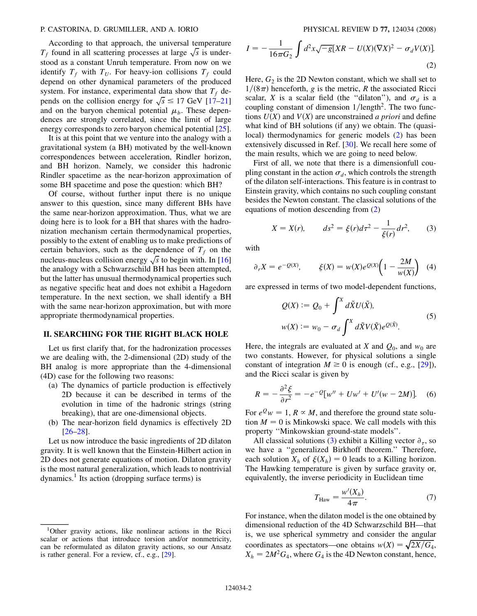### <span id="page-1-0"></span>P. CASTORINA, D. GRUMILLER, AND A. IORIO PHYSICAL REVIEW D 77, 124034 (2008)

According to that approach, the universal temperature The intervals of the universal temperature  $T_f$  found in all scattering processes at large  $\sqrt{s}$  is understood as a constant Unruh temperature. From now on we identify  $T_f$  with  $T_U$ . For heavy-ion collisions  $T_f$  could depend on other dynamical parameters of the produced system. For instance, experimental data show that  $T_f$  depends on the collision energy for  $\sqrt{s} \le 17$  GeV [17–21] and on the baryon chemical potential  $\mu_b$ . These dependences are strongly correlated, since the limit of large energy corresponds to zero baryon chemical potential [25].

It is at this point that we venture into the analogy with a gravitational system (a BH) motivated by the well-known correspondences between acceleration, Rindler horizon, and BH horizon. Namely, we consider this hadronic Rindler spacetime as the near-horizon approximation of some BH spacetime and pose the question: which BH?

Of course, without further input there is no unique answer to this question, since many different BHs have the same near-horizon approximation. Thus, what we are doing here is to look for a BH that shares with the hadronization mechanism certain thermodynamical properties, possibly to the extent of enabling us to make predictions of certain behaviors, such as the dependence of  $T_f$  on the nucleus-nucleus collision energy  $\sqrt{s}$  to begin with. In [16] the analogy with a Schwarzschild BH has been attempted, but the latter has unusual thermodynamical properties such as negative specific heat and does not exhibit a Hagedorn temperature. In the next section, we shall identify a BH with the same near-horizon approximation, but with more appropriate thermodynamical properties.

## II. SEARCHING FOR THE RIGHT BLACK HOLE

Let us first clarify that, for the hadronization processes we are dealing with, the 2-dimensional (2D) study of the BH analog is more appropriate than the 4-dimensional (4D) case for the following two reasons:

- (a) The dynamics of particle production is effectively 2D because it can be described in terms of the evolution in time of the hadronic strings (string breaking), that are one-dimensional objects.
- (b) The near-horizon field dynamics is effectively 2D [26–28].

Let us now introduce the basic ingredients of 2D dilaton gravity. It is well known that the Einstein-Hilbert action in 2D does not generate equations of motion. Dilaton gravity is the most natural generalization, which leads to nontrivial dynamics.<sup>1</sup> Its action (dropping surface terms) is

$$
I = -\frac{1}{16\pi G_2} \int d^2x \sqrt{-g} [XR - U(X)(\nabla X)^2 - \sigma_d V(X)].
$$
\n(2)

Here,  $G_2$  is the 2D Newton constant, which we shall set to  $1/(8\pi)$  henceforth, g is the metric, R the associated Ricci scalar, X is a scalar field (the "dilaton"), and  $\sigma_d$  is a coupling constant of dimension  $1/length<sup>2</sup>$ . The two functions  $U(X)$  and  $V(X)$  are unconstrained a priori and define what kind of BH solutions (if any) we obtain. The (quasilocal) thermodynamics for generic models (2) has been extensively discussed in Ref. [30]. We recall here some of the main results, which we are going to need below.

First of all, we note that there is a dimensionfull coupling constant in the action  $\sigma_d$ , which controls the strength of the dilaton self-interactions. This feature is in contrast to Einstein gravity, which contains no such coupling constant besides the Newton constant. The classical solutions of the equations of motion descending from (2)

$$
X = X(r), \qquad ds^2 = \xi(r)d\tau^2 - \frac{1}{\xi(r)}dr^2, \qquad (3)
$$

with

$$
\partial_r X = e^{-Q(X)}, \qquad \xi(X) = w(X)e^{Q(X)}\left(1 - \frac{2M}{w(X)}\right) \tag{4}
$$

are expressed in terms of two model-dependent functions,

$$
Q(X) := Q_0 + \int^X d\tilde{X} U(\tilde{X}),
$$
  

$$
w(X) := w_0 - \sigma_d \int^X d\tilde{X} V(\tilde{X}) e^{Q(\tilde{X})}. \tag{5}
$$

Here, the integrals are evaluated at X and  $Q_0$ , and  $w_0$  are two constants. However, for physical solutions a single constant of integration  $M \ge 0$  is enough (cf., e.g., [29]), and the Ricci scalar is given by

$$
R = -\frac{\partial^2 \xi}{\partial r^2} = -e^{-2} [w'' + Uw' + U'(w - 2M)].
$$
 (6)

For  $e^Q w = 1$ ,  $R \propto M$ , and therefore the ground state solution  $M = 0$  is Minkowski space. We call models with this property ''Minkowskian ground-state models''.

All classical solutions (3) exhibit a Killing vector  $\partial_{\tau}$ , so we have a ''generalized Birkhoff theorem.'' Therefore, each solution  $X_h$  of  $\xi(X_h) = 0$  leads to a Killing horizon. The Hawking temperature is given by surface gravity or, equivalently, the inverse periodicity in Euclidean time

$$
T_{\text{Haw}} = \frac{w'(X_h)}{4\pi}.
$$
 (7)

For instance, when the dilaton model is the one obtained by dimensional reduction of the 4D Schwarzschild BH—that is, we use spherical symmetry and consider the angular coordinates as spectators—one obtains  $w(X) = \sqrt{\frac{2X}{G_4}}$ ,  $X_h = 2M^2G_4$ , where  $G_4$  is the 4D Newton constant, hence,

<sup>&</sup>lt;sup>1</sup>Other gravity actions, like nonlinear actions in the Ricci scalar or actions that introduce torsion and/or nonmetricity, can be reformulated as dilaton gravity actions, so our Ansatz is rather general. For a review, cf., e.g., [29].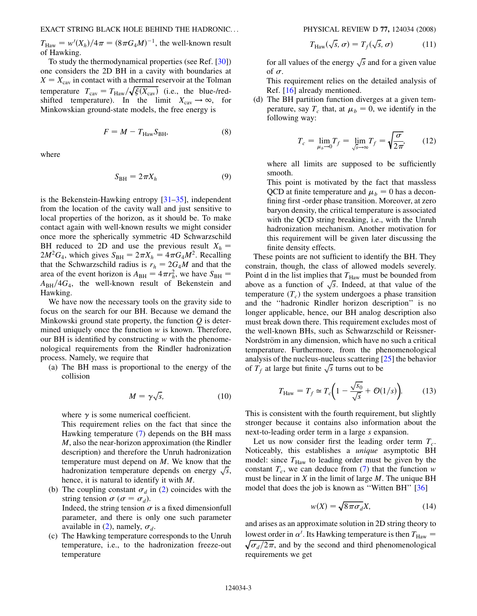<span id="page-2-0"></span> $T_{\text{Haw}} = w'(X_h)/4\pi = (8\pi G_4 M)^{-1}$ , the well-known result of Hawking.

To study the thermodynamical properties (see Ref. [30]) one considers the 2D BH in a cavity with boundaries at  $X = X_{\text{cav}}$  in contact with a thermal reservoir at the Tolman temperature  $T_{\text{cav}} = T_{\text{Haw}} / \sqrt{\xi(X_{\text{cav}})}$  (i.e., the blue-/redshifted temperature). In the limit  $X_{\text{cav}} \to \infty$ , for Minkowskian ground-state models, the free energy is

$$
F = M - T_{\text{Haw}} S_{\text{BH}},\tag{8}
$$

where

$$
S_{\rm BH} = 2\pi X_h \tag{9}
$$

is the Bekenstein-Hawking entropy [31–35], independent from the location of the cavity wall and just sensitive to local properties of the horizon, as it should be. To make contact again with well-known results we might consider once more the spherically symmetric 4D Schwarzschild BH reduced to 2D and use the previous result  $X_h$  =  $2M^2G_4$ , which gives  $S_{\text{BH}} = 2\pi X_h = 4\pi G_4 M^2$ . Recalling that the Schwarzschild radius is  $r_h = 2G_4M$  and that the area of the event horizon is  $A_{BH} = 4\pi r_h^2$ , we have  $S_{BH} =$  $A<sub>BH</sub>/4G<sub>4</sub>$ , the well-known result of Bekenstein and Hawking.

We have now the necessary tools on the gravity side to focus on the search for our BH. Because we demand the Minkowski ground state property, the function  $Q$  is determined uniquely once the function  $w$  is known. Therefore, our BH is identified by constructing  $w$  with the phenomenological requirements from the Rindler hadronization process. Namely, we require that

(a) The BH mass is proportional to the energy of the collision

$$
M = \gamma \sqrt{s}, \tag{10}
$$

where  $\gamma$  is some numerical coefficient.

This requirement relies on the fact that since the Hawking temperature [\(7](#page-1-0)) depends on the BH mass M, also the near-horizon approximation (the Rindler description) and therefore the Unruh hadronization temperature must depend on M. We know that the hadronization temperature depends on energy  $\sqrt{s}$ , hence, it is natural to identify it with M.

- (b) The coupling constant  $\sigma_d$  in ([2\)](#page-1-0) coincides with the string tension  $\sigma$  ( $\sigma = \sigma_d$ ). Indeed, the string tension  $\sigma$  is a fixed dimensionfull parameter, and there is only one such parameter available in [\(2](#page-1-0)), namely,  $\sigma_d$ .
- (c) The Hawking temperature corresponds to the Unruh temperature, i.e., to the hadronization freeze-out temperature

$$
T_{\text{Haw}}(\sqrt{s}, \sigma) = T_f(\sqrt{s}, \sigma) \tag{11}
$$

for all values of the energy  $\sqrt{s}$  and for a given value of  $\sigma$ .

This requirement relies on the detailed analysis of Ref. [16] already mentioned.

(d) The BH partition function diverges at a given temperature, say  $T_c$  that, at  $\mu_b = 0$ , we identify in the following way:

$$
T_c = \lim_{\mu_b \to 0} T_f = \lim_{\sqrt{s} \to \infty} T_f = \sqrt{\frac{\sigma}{2\pi}},
$$
 (12)

where all limits are supposed to be sufficiently smooth.

This point is motivated by the fact that massless QCD at finite temperature and  $\mu_b = 0$  has a deconfining first -order phase transition. Moreover, at zero baryon density, the critical temperature is associated with the QCD string breaking, i.e., with the Unruh hadronization mechanism. Another motivation for this requirement will be given later discussing the finite density effects.

These points are not sufficient to identify the BH. They constrain, though, the class of allowed models severely. Point d in the list implies that  $T_{\text{Haw}}$  must be bounded from above as a function of  $\sqrt{s}$ . Indeed, at that value of the temperature  $(T_c)$  the system undergoes a phase transition and the ''hadronic Rindler horizon description'' is no longer applicable, hence, our BH analog description also must break down there. This requirement excludes most of the well-known BHs, such as Schwarzschild or Reissner-Nordström in any dimension, which have no such a critical temperature. Furthermore, from the phenomenological analysis of the nucleus-nucleus scattering [25] the behavior of  $T_f$  at large but finite  $\sqrt{s}$  turns out to be

$$
T_{\text{Haw}} = T_f \simeq T_c \bigg( 1 - \frac{\sqrt{s_0}}{\sqrt{s}} + \mathcal{O}(1/s) \bigg). \tag{13}
$$

This is consistent with the fourth requirement, but slightly stronger because it contains also information about the next-to-leading order term in a large s expansion.

Let us now consider first the leading order term  $T_c$ . Noticeably, this establishes a unique asymptotic BH model: since  $T_{\text{Haw}}$  to leading order must be given by the constant  $T_c$ , we can deduce from [\(7\)](#page-1-0) that the function w must be linear in  $X$  in the limit of large  $M$ . The unique BH model that does the job is known as ''Witten BH'' [36]

$$
w(X) = \sqrt{8\pi\sigma_d}X,\tag{14}
$$

and arises as an approximate solution in 2D string theory to lowest order in  $\alpha'$ . Its Hawking temperature is then  $T_{\text{Haw}} = \sqrt{\sigma_d/2\pi}$ , and by the second and third phenomenological  $\sqrt{\sigma_d/2\pi}$ , and by the second and third phenomenological requirements we get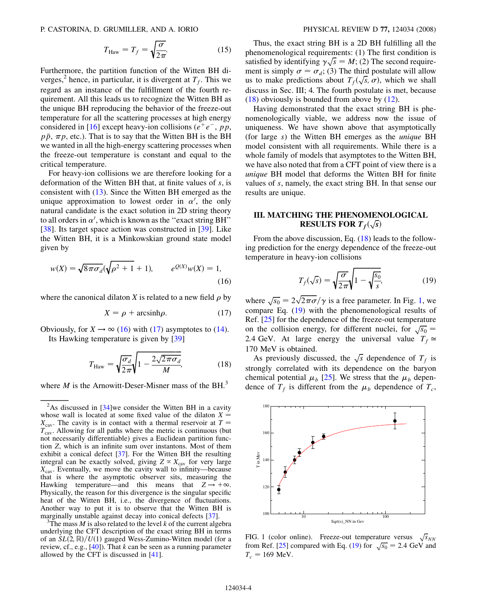<span id="page-3-0"></span>P. CASTORINA, D. GRUMILLER, AND A. IORIO PHYSICAL REVIEW D 77, 124034 (2008)

$$
T_{\text{Haw}} = T_f = \sqrt{\frac{\sigma}{2\pi}}.\tag{15}
$$

Furthermore, the partition function of the Witten BH diverges,<sup>2</sup> hence, in particular, it is divergent at  $T_f$ . This we regard as an instance of the fulfillment of the fourth requirement. All this leads us to recognize the Witten BH as the unique BH reproducing the behavior of the freeze-out temperature for all the scattering processes at high energy considered in [16] except heavy-ion collisions ( $e^+e^-$ , pp,  $p\bar{p}$ ,  $\pi p$ , etc.). That is to say that the Witten BH is the BH we wanted in all the high-energy scattering processes when the freeze-out temperature is constant and equal to the critical temperature.

For heavy-ion collisions we are therefore looking for a deformation of the Witten BH that, at finite values of s, is consistent with [\(13\)](#page-2-0). Since the Witten BH emerged as the unique approximation to lowest order in  $\alpha'$ , the only natural candidate is the exact solution in 2D string theory to all orders in  $\alpha'$ , which is known as the "exact string BH" [38]. Its target space action was constructed in [39]. Like the Witten BH, it is a Minkowskian ground state model given by

$$
w(X) = \sqrt{8\pi\sigma_d}(\sqrt{\rho^2 + 1} + 1), \qquad e^{Q(X)}w(X) = 1,
$$
\n(16)

where the canonical dilaton X is related to a new field  $\rho$  by

$$
X = \rho + \operatorname{arcsinh}\rho. \tag{17}
$$

Obviously, for  $X \to \infty$  (16) with (17) asymptotes to ([14](#page-2-0)).

Its Hawking temperature is given by [39]

$$
T_{\text{Haw}} = \sqrt{\frac{\sigma_d}{2\pi}} \sqrt{1 - \frac{2\sqrt{2\pi}\sigma_d}{M}},
$$
(18)

where  $M$  is the Arnowitt-Deser-Misner mass of the BH.<sup>3</sup>

The mass M is also related to the level k of the current algebra underlying the CFT description of the exact string BH in terms of an  $SL(2, \mathbb{R})/U(1)$  gauged Wess-Zumino-Witten model (for a review, cf., e.g.,  $[40]$ ). That k can be seen as a running parameter allowed by the CFT is discussed in [41].

Thus, the exact string BH is a 2D BH fulfilling all the phenomenological requirements: (1) The first condition is satisfied by identifying  $\gamma \sqrt{s} = M$ ; (2) The second requirement is simply  $\sigma = \sigma_d$ ; (3) The third postulate will allow us to make predictions about  $T_f(\sqrt{s}, \sigma)$ , which we shall discuss in Sec. III; 4. The fourth postulate is met, because  $(18)$  obviously is bounded from above by  $(12)$  $(12)$  $(12)$ .

Having demonstrated that the exact string BH is phenomenologically viable, we address now the issue of uniqueness. We have shown above that asymptotically (for large s) the Witten BH emerges as the unique BH model consistent with all requirements. While there is a whole family of models that asymptotes to the Witten BH, we have also noted that from a CFT point of view there is a unique BH model that deforms the Witten BH for finite values of s, namely, the exact string BH. In that sense our results are unique.

# III. MATCHING THE PHENOMENOLOGICAL RESULTS FOR  $T_f(\sqrt{s})$

From the above discussion, Eq. (18) leads to the following prediction for the energy dependence of the freeze-out temperature in heavy-ion collisions

$$
T_f(\sqrt{s}) = \sqrt{\frac{\sigma}{2\pi}} \sqrt{1 - \sqrt{\frac{s_0}{s}}},\tag{19}
$$

where  $\sqrt{s_0} = 2\sqrt{2\pi\sigma}/\gamma$  is a free parameter. In Fig. 1, we compare Eq. (19) with the phenomenological results of Ref. [25] for the dependence of the freeze-out temperature on the collision energy, for different nuclei, for  $\sqrt{s_0}$  = 2.4 GeV. At large energy the universal value  $T_f \approx$ 170 MeV is obtained.

As previously discussed, the  $\sqrt{s}$  dependence of  $T_f$  is strongly correlated with its dependence on the baryon chemical potential  $\mu_b$  [25]. We stress that the  $\mu_b$  dependence of  $T_f$  is different from the  $\mu_b$  dependence of  $T_c$ ,



FIG. 1 (color online). Freeze-out temperature versus  $\sqrt{s}_{NN}$ from Ref. [25] compared with Eq. (19) for  $\sqrt{s_0} = 2.4$  GeV and  $T_c = 169$  MeV.

 $2^2$ As discussed in [34]we consider the Witten BH in a cavity whose wall is located at some fixed value of the dilaton  $X =$  $X_{\text{cav}}$ . The cavity is in contact with a thermal reservoir at T =  $T_{\text{cav}}$ . Allowing for all paths where the metric is continuous (but not necessarily differentiable) gives a Euclidean partition function Z, which is an infinite sum over instantons. Most of them exhibit a conical defect [37]. For the Witten BH the resulting integral can be exactly solved, giving  $Z \propto X_{\text{cav}}$  for very large  $X_{\text{cav}}$ . Eventually, we move the cavity wall to infinity—because that is where the asymptotic observer sits, measuring the Hawking temperature—and this means that  $Z \rightarrow +\infty$ . Physically, the reason for this divergence is the singular specific heat of the Witten BH, i.e., the divergence of fluctuations. Another way to put it is to observe that the Witten BH is marginally unstable against decay into conical defects [37].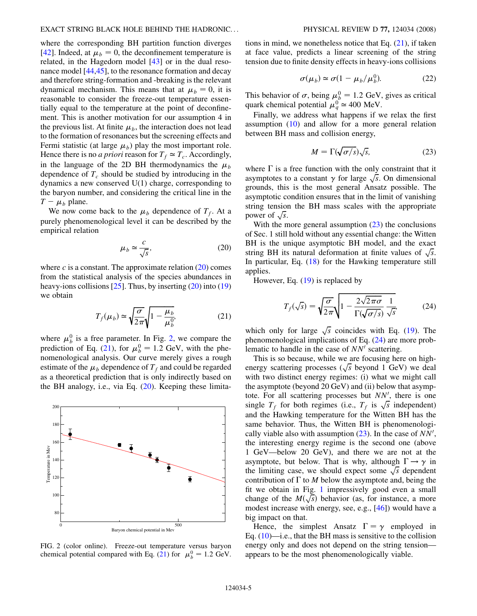where the corresponding BH partition function diverges [42]. Indeed, at  $\mu_b = 0$ , the deconfinement temperature is related, in the Hagedorn model [[43](#page-6-0)] or in the dual resonance model [\[44,45](#page-6-0)], to the resonance formation and decay and therefore string-formation and -breaking is the relevant dynamical mechanism. This means that at  $\mu_h = 0$ , it is reasonable to consider the freeze-out temperature essentially equal to the temperature at the point of deconfinement. This is another motivation for our assumption 4 in the previous list. At finite  $\mu_b$ , the interaction does not lead to the formation of resonances but the screening effects and Fermi statistic (at large  $\mu_b$ ) play the most important role. Hence there is no *a priori* reason for  $T_f \simeq T_c$ . Accordingly, in the language of the 2D BH thermodynamics the  $\mu_b$ dependence of  $T_c$  should be studied by introducing in the dynamics a new conserved U(1) charge, corresponding to the baryon number, and considering the critical line in the  $T - \mu_b$  plane.

We now come back to the  $\mu_b$  dependence of  $T_f$ . At a purely phenomenological level it can be described by the empirical relation

$$
\mu_b \simeq \frac{c}{\sqrt{s}},\tag{20}
$$

where  $c$  is a constant. The approximate relation  $(20)$  comes from the statistical analysis of the species abundances in heavy-ions collisions  $[25]$ . Thus, by inserting  $(20)$  into  $(19)$ we obtain

$$
T_f(\mu_b) \simeq \sqrt{\frac{\sigma}{2\pi}} \sqrt{1 - \frac{\mu_b}{\mu_b^0}},\tag{21}
$$

where  $\mu_b^0$  is a free parameter. In Fig. 2, we compare the prediction of Eq. (21), for  $\mu_b^0 = 1.2$  GeV, with the phenomenological analysis. Our curve merely gives a rough estimate of the  $\mu_b$  dependence of  $T_f$  and could be regarded as a theoretical prediction that is only indirectly based on the BH analogy, i.e., via Eq. (20). Keeping these limita-



FIG. 2 (color online). Freeze-out temperature versus baryon chemical potential compared with Eq. (21) for  $\mu_b^0 = 1.2$  GeV.

tions in mind, we nonetheless notice that Eq. (21), if taken at face value, predicts a linear screening of the string tension due to finite density effects in heavy-ions collisions

$$
\sigma(\mu_b) \simeq \sigma (1 - \mu_b / \mu_b^0). \tag{22}
$$

This behavior of  $\sigma$ , being  $\mu_b^0 = 1.2$  GeV, gives as critical quark chemical potential  $\mu_q^0 \approx 400$  MeV.

Finally, we address what happens if we relax the first assumption [\(10\)](#page-2-0) and allow for a more general relation between BH mass and collision energy,

$$
M = \Gamma(\sqrt{\sigma/s})\sqrt{s},\tag{23}
$$

where  $\Gamma$  is a free function with the only constraint that it asymptotes to a constant  $\gamma$  for large  $\sqrt{s}$ . On dimensional grounds, this is the most general Ansatz possible. The asymptotic condition ensures that in the limit of vanishing string tension the BH mass scales with the appropriate power of  $\sqrt{s}$ .

With the more general assumption  $(23)$  the conclusions of Sec. 1 still hold without any essential change: the Witten BH is the unique asymptotic BH model, and the exact string BH its natural deformation at finite values of  $\sqrt{s}$ . In particular, Eq.  $(18)$  for the Hawking temperature still applies.

However, Eq.  $(19)$  is replaced by

$$
T_f(\sqrt{s}) = \sqrt{\frac{\sigma}{2\pi}} \sqrt{1 - \frac{2\sqrt{2\pi\sigma}}{\Gamma(\sqrt{\sigma/s})} \frac{1}{\sqrt{s}}}
$$
(24)

which only for large  $\sqrt{s}$  coincides with Eq. ([19](#page-3-0)). The phenomenological implications of Eq. (24) are more problematic to handle in the case of  $NN'$  scattering.

This is so because, while we are focusing here on highenergy scattering processes  $(\sqrt{s}$  beyond 1 GeV) we deal with two distinct energy regimes: (i) what we might call the asymptote (beyond 20 GeV) and (ii) below that asymptote. For all scattering processes but  $NN'$ , there is one single  $T_f$  for both regimes (i.e.,  $T_f$  is  $\sqrt{s}$  independent) and the Hawking temperature for the Witten BH has the same behavior. Thus, the Witten BH is phenomenologically viable also with assumption  $(23)$ . In the case of  $NN'$ , the interesting energy regime is the second one (above 1 GeV—below 20 GeV), and there we are not at the asymptote, but below. That is why, although  $\Gamma \rightarrow \gamma$  in the limiting case, we should expect some  $\sqrt{s}$  dependent contribution of  $\Gamma$  to M below the asymptote and, being the fit we obtain in Fig. [1](#page-3-0) impressively good even a small change of the  $M(\sqrt{s})$  behavior (as, for instance, a more modest increase with energy, see, e.g., [\[46\]](#page-6-0)) would have a big impact on that.

Hence, the simplest Ansatz  $\Gamma = \gamma$  employed in Eq.  $(10)$  $(10)$ —i.e., that the BH mass is sensitive to the collision energy only and does not depend on the string tension appears to be the most phenomenologically viable.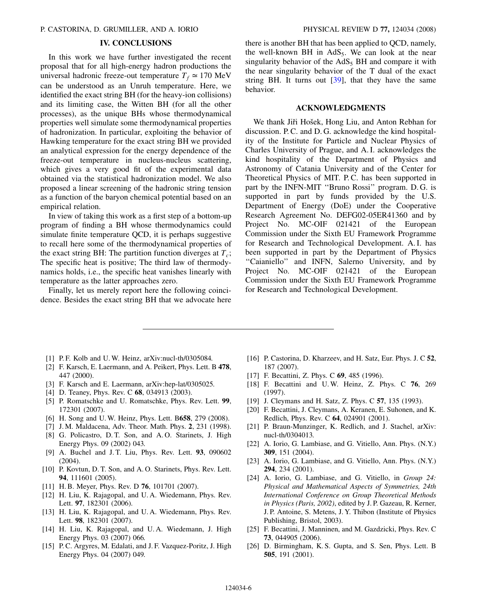## IV. CONCLUSIONS

<span id="page-5-0"></span>In this work we have further investigated the recent proposal that for all high-energy hadron productions the universal hadronic freeze-out temperature  $T_f \approx 170 \text{ MeV}$ can be understood as an Unruh temperature. Here, we identified the exact string BH (for the heavy-ion collisions) and its limiting case, the Witten BH (for all the other processes), as the unique BHs whose thermodynamical properties well simulate some thermodynamical properties of hadronization. In particular, exploiting the behavior of Hawking temperature for the exact string BH we provided an analytical expression for the energy dependence of the freeze-out temperature in nucleus-nucleus scattering, which gives a very good fit of the experimental data obtained via the statistical hadronization model. We also proposed a linear screening of the hadronic string tension as a function of the baryon chemical potential based on an empirical relation.

In view of taking this work as a first step of a bottom-up program of finding a BH whose thermodynamics could simulate finite temperature QCD, it is perhaps suggestive to recall here some of the thermodynamical properties of the exact string BH: The partition function diverges at  $T_c$ ; The specific heat is positive; The third law of thermodynamics holds, i.e., the specific heat vanishes linearly with temperature as the latter approaches zero.

Finally, let us merely report here the following coincidence. Besides the exact string BH that we advocate here there is another BH that has been applied to QCD, namely, the well-known BH in  $AdS_5$ . We can look at the near singularity behavior of the  $AdS<sub>5</sub> BH$  and compare it with the near singularity behavior of the T dual of the exact string BH. It turns out  $[39]$ , that they have the same behavior.

## ACKNOWLEDGMENTS

We thank Jiři Hošek, Hong Liu, and Anton Rebhan for discussion. P. C. and D. G. acknowledge the kind hospitality of the Institute for Particle and Nuclear Physics of Charles University of Prague, and A. I. acknowledges the kind hospitality of the Department of Physics and Astronomy of Catania University and of the Center for Theoretical Physics of MIT. P. C. has been supported in part by the INFN-MIT ''Bruno Rossi'' program. D. G. is supported in part by funds provided by the U.S. Department of Energy (DoE) under the Cooperative Research Agreement No. DEFG02-05ER41360 and by Project No. MC-OIF 021421 of the European Commission under the Sixth EU Framework Programme for Research and Technological Development. A. I. has been supported in part by the Department of Physics "Caianiello" and INFN, Salerno University, and by Project No. MC-OIF 021421 of the European Commission under the Sixth EU Framework Programme for Research and Technological Development.

- [1] P.F. Kolb and U.W. Heinz, arXiv:nucl-th/0305084.
- [2] F. Karsch, E. Laermann, and A. Peikert, Phys. Lett. B 478, 447 (2000).
- [3] F. Karsch and E. Laermann, arXiv:hep-lat/0305025.
- [4] D. Teaney, Phys. Rev. C 68, 034913 (2003).
- [5] P. Romatschke and U. Romatschke, Phys. Rev. Lett. 99, 172301 (2007).
- [6] H. Song and U.W. Heinz, Phys. Lett. B658, 279 (2008).
- [7] J. M. Maldacena, Adv. Theor. Math. Phys. 2, 231 (1998).
- [8] G. Policastro, D. T. Son, and A.O. Starinets, J. High Energy Phys. 09 (2002) 043.
- [9] A. Buchel and J. T. Liu, Phys. Rev. Lett. 93, 090602 (2004).
- [10] P. Kovtun, D. T. Son, and A. O. Starinets, Phys. Rev. Lett. 94, 111601 (2005).
- [11] H. B. Meyer, Phys. Rev. D **76**, 101701 (2007).
- [12] H. Liu, K. Rajagopal, and U. A. Wiedemann, Phys. Rev. Lett. 97, 182301 (2006).
- [13] H. Liu, K. Rajagopal, and U. A. Wiedemann, Phys. Rev. Lett. 98, 182301 (2007).
- [14] H. Liu, K. Rajagopal, and U. A. Wiedemann, J. High Energy Phys. 03 (2007) 066.
- [15] P. C. Argyres, M. Edalati, and J. F. Vazquez-Poritz, J. High Energy Phys. 04 (2007) 049.
- [16] P. Castorina, D. Kharzeev, and H. Satz, Eur. Phys. J. C 52, 187 (2007).
- [17] F. Becattini, Z. Phys. C **69**, 485 (1996).
- [18] F. Becattini and U. W. Heinz, Z. Phys. C 76, 269 (1997).
- [19] J. Cleymans and H. Satz, Z. Phys. C 57, 135 (1993).
- [20] F. Becattini, J. Cleymans, A. Keranen, E. Suhonen, and K. Redlich, Phys. Rev. C 64, 024901 (2001).
- [21] P. Braun-Munzinger, K. Redlich, and J. Stachel, arXiv: nucl-th/0304013.
- [22] A. Iorio, G. Lambiase, and G. Vitiello, Ann. Phys. (N.Y.) 309, 151 (2004).
- [23] A. Iorio, G. Lambiase, and G. Vitiello, Ann. Phys. (N.Y.) 294, 234 (2001).
- [24] A. Iorio, G. Lambiase, and G. Vitiello, in Group 24: Physical and Mathematical Aspects of Symmetries, 24th International Conference on Group Theoretical Methods in Physics (Paris, 2002), edited by J. P. Gazeau, R. Kerner, J. P. Antoine, S. Metens, J. Y. Thibon (Institute of Physics Publishing, Bristol, 2003).
- [25] F. Becattini, J. Manninen, and M. Gazdzicki, Phys. Rev. C 73, 044905 (2006).
- [26] D. Birmingham, K. S. Gupta, and S. Sen, Phys. Lett. B 505, 191 (2001).